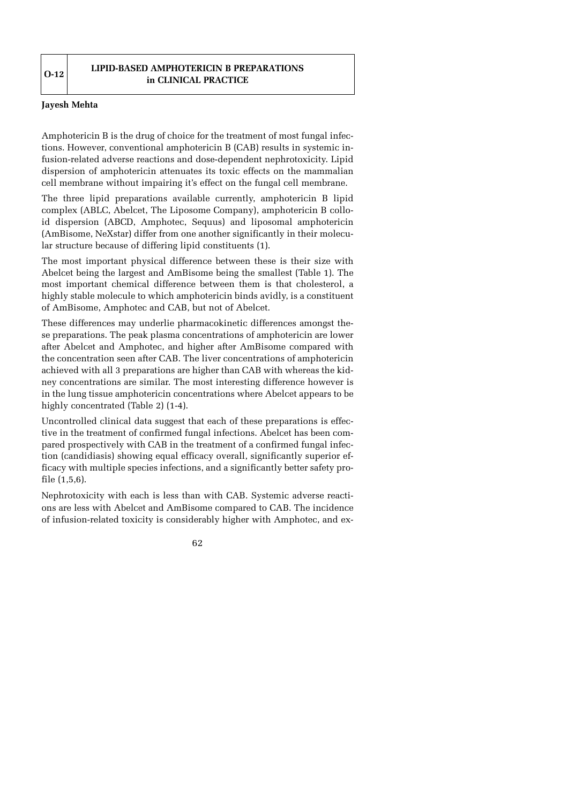## **LIPID-BASED AMPHOTERICIN B PREPARATIONS in CLINICAL PRACTICE**

## **Jayesh Mehta**

Amphotericin B is the drug of choice for the treatment of most fungal infections. However, conventional amphotericin B (CAB) results in systemic infusion-related adverse reactions and dose-dependent nephrotoxicity. Lipid dispersion of amphotericin attenuates its toxic effects on the mammalian cell membrane without impairing it's effect on the fungal cell membrane.

The three lipid preparations available currently, amphotericin B lipid complex (ABLC, Abelcet, The Liposome Company), amphotericin B colloid dispersion (ABCD, Amphotec, Sequus) and liposomal amphotericin (AmBisome, NeXstar) differ from one another significantly in their molecular structure because of differing lipid constituents (1).

The most important physical difference between these is their size with Abelcet being the largest and AmBisome being the smallest (Table 1). The most important chemical difference between them is that cholesterol, a highly stable molecule to which amphotericin binds avidly, is a constituent of AmBisome, Amphotec and CAB, but not of Abelcet.

These differences may underlie pharmacokinetic differences amongst these preparations. The peak plasma concentrations of amphotericin are lower after Abelcet and Amphotec, and higher after AmBisome compared with the concentration seen after CAB. The liver concentrations of amphotericin achieved with all 3 preparations are higher than CAB with whereas the kidney concentrations are similar. The most interesting difference however is in the lung tissue amphotericin concentrations where Abelcet appears to be highly concentrated (Table 2) (1-4).

Uncontrolled clinical data suggest that each of these preparations is effective in the treatment of confirmed fungal infections. Abelcet has been compared prospectively with CAB in the treatment of a confirmed fungal infection (candidiasis) showing equal efficacy overall, significantly superior efficacy with multiple species infections, and a significantly better safety profile (1,5,6).

Nephrotoxicity with each is less than with CAB. Systemic adverse reactions are less with Abelcet and AmBisome compared to CAB. The incidence of infusion-related toxicity is considerably higher with Amphotec, and ex-

62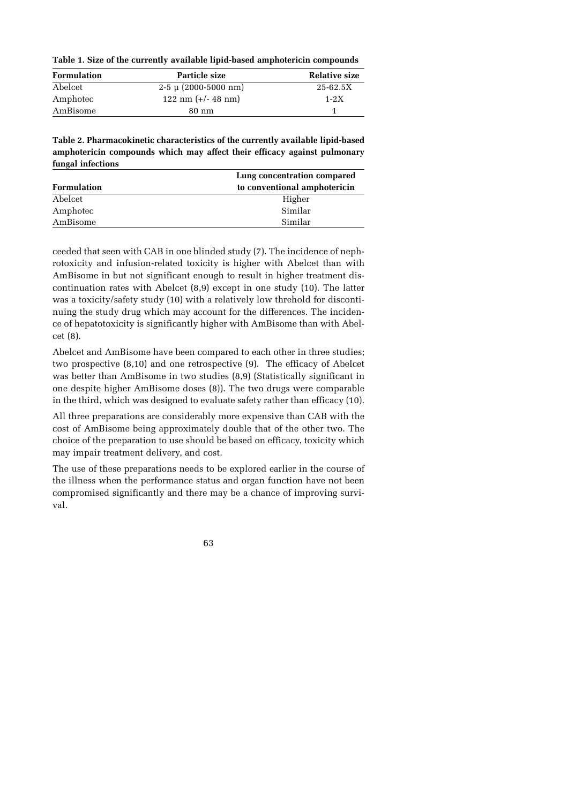**Table 1. Size of the currently available lipid-based amphotericin compounds**

| <b>Formulation</b> | Particle size                    | Relative size |
|--------------------|----------------------------------|---------------|
| Abelcet            | $2-5 \mu (2000-5000 \text{ nm})$ | $25 - 62.5X$  |
| Amphotec           | $122 \text{ nm}$ (+/- 48 nm)     | $1 - 2X$      |
| AmBisome           | 80 nm                            |               |

**Table 2. Pharmacokinetic characteristics of the currently available lipid-based amphotericin compounds which may affect their efficacy against pulmonary fungal infections**

|                    | Lung concentration compared  |  |
|--------------------|------------------------------|--|
| <b>Formulation</b> | to conventional amphotericin |  |
| Abelcet            | Higher                       |  |
| Amphotec           | Similar                      |  |
| AmBisome           | Similar                      |  |

ceeded that seen with CAB in one blinded study (7). The incidence of nephrotoxicity and infusion-related toxicity is higher with Abelcet than with AmBisome in but not significant enough to result in higher treatment discontinuation rates with Abelcet (8,9) except in one study (10). The latter was a toxicity/safety study (10) with a relatively low threhold for discontinuing the study drug which may account for the differences. The incidence of hepatotoxicity is significantly higher with AmBisome than with Abelcet (8).

Abelcet and AmBisome have been compared to each other in three studies; two prospective (8,10) and one retrospective (9). The efficacy of Abelcet was better than AmBisome in two studies (8,9) (Statistically significant in one despite higher AmBisome doses (8)). The two drugs were comparable in the third, which was designed to evaluate safety rather than efficacy (10).

All three preparations are considerably more expensive than CAB with the cost of AmBisome being approximately double that of the other two. The choice of the preparation to use should be based on efficacy, toxicity which may impair treatment delivery, and cost.

The use of these preparations needs to be explored earlier in the course of the illness when the performance status and organ function have not been compromised significantly and there may be a chance of improving survival.

63